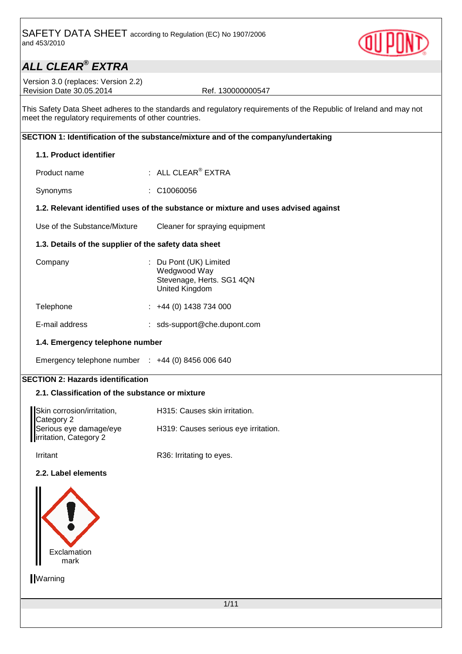

Version 3.0 (replaces: Version 2.2) Revision Date 30.05.2014 Ref. 130000000547

This Safety Data Sheet adheres to the standards and regulatory requirements of the Republic of Ireland and may not meet the regulatory requirements of other countries.

|                                                                                             | SECTION 1: Identification of the substance/mixture and of the company/undertaking     |
|---------------------------------------------------------------------------------------------|---------------------------------------------------------------------------------------|
| 1.1. Product identifier                                                                     |                                                                                       |
| Product name                                                                                | : ALL CLEAR <sup>®</sup> EXTRA                                                        |
| Synonyms                                                                                    | : C10060056                                                                           |
|                                                                                             | 1.2. Relevant identified uses of the substance or mixture and uses advised against    |
| Use of the Substance/Mixture                                                                | Cleaner for spraying equipment                                                        |
| 1.3. Details of the supplier of the safety data sheet                                       |                                                                                       |
| Company                                                                                     | : Du Pont (UK) Limited<br>Wedgwood Way<br>Stevenage, Herts. SG1 4QN<br>United Kingdom |
| Telephone                                                                                   | $\div$ +44 (0) 1438 734 000                                                           |
| E-mail address                                                                              | : sds-support@che.dupont.com                                                          |
| 1.4. Emergency telephone number                                                             |                                                                                       |
| Emergency telephone number : +44 (0) 8456 006 640                                           |                                                                                       |
| <b>SECTION 2: Hazards identification</b><br>2.1. Classification of the substance or mixture |                                                                                       |
| Skin corrosion/irritation,                                                                  | H315: Causes skin irritation.                                                         |
| Category 2<br>Serious eye damage/eye<br>irritation, Category 2                              | H319: Causes serious eye irritation.                                                  |
| Irritant                                                                                    | R36: Irritating to eyes.                                                              |
| 2.2. Label elements                                                                         |                                                                                       |
| Exclamation<br>mark                                                                         |                                                                                       |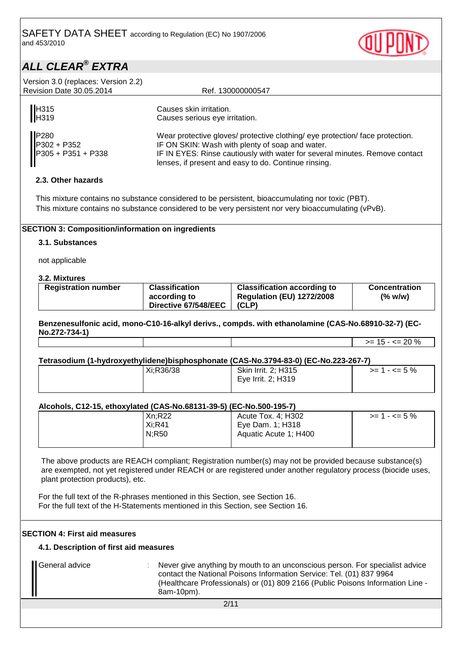Version 3.0 (replaces: Version 2.2) Revision Date 30.05.2014 Ref. 130000000547

| $\parallel$ H315                            | Causes skin irritation.<br>Causes serious eye irritation.                                                                                                                                                                                                               |
|---------------------------------------------|-------------------------------------------------------------------------------------------------------------------------------------------------------------------------------------------------------------------------------------------------------------------------|
| P280<br>P302 + P352<br>$P305 + P351 + P338$ | Wear protective gloves/ protective clothing/ eye protection/ face protection.<br>IF ON SKIN: Wash with plenty of soap and water.<br>IF IN EYES: Rinse cautiously with water for several minutes. Remove contact<br>lenses, if present and easy to do. Continue rinsing. |

### **2.3. Other hazards**

This mixture contains no substance considered to be persistent, bioaccumulating nor toxic (PBT). This mixture contains no substance considered to be very persistent nor very bioaccumulating (vPvB).

### **SECTION 3: Composition/information on ingredients**

#### **3.1. Substances**

not applicable

#### **3.2. Mixtures**

| <b>Registration number</b> | <b>Classification</b> | <b>Classification according to</b> | <b>Concentration</b> |
|----------------------------|-----------------------|------------------------------------|----------------------|
|                            | according to          | <b>Regulation (EU) 1272/2008</b>   | (% w/w)              |
|                            | Directive 67/548/EEC  | (CLP)                              |                      |

#### **Benzenesulfonic acid, mono-C10-16-alkyl derivs., compds. with ethanolamine (CAS-No.68910-32-7) (EC-No.272-734-1)**

 $>= 15 - 20 \%$ 

#### **Tetrasodium (1-hydroxyethylidene)bisphosphonate (CAS-No.3794-83-0) (EC-No.223-267-7)**

| Xi:R36/38 | Skin Irrit. 2; H315 | $>= 1 - \le 5\%$ |
|-----------|---------------------|------------------|
|           | Eye Irrit. 2; H319  |                  |
|           |                     |                  |

### **Alcohols, C12-15, ethoxylated (CAS-No.68131-39-5) (EC-No.500-195-7)**

| Xn:R22 | Acute Tox. 4; H302    | $>= 1 - 5\%$ |
|--------|-----------------------|--------------|
| Xi:R41 | Eye Dam. 1; H318      |              |
| N:R50  | Aquatic Acute 1; H400 |              |
|        |                       |              |

The above products are REACH compliant; Registration number(s) may not be provided because substance(s) are exempted, not yet registered under REACH or are registered under another regulatory process (biocide uses, plant protection products), etc.

For the full text of the R-phrases mentioned in this Section, see Section 16. For the full text of the H-Statements mentioned in this Section, see Section 16.

### **SECTION 4: First aid measures**

### **4.1. Description of first aid measures**

General advice : Never give anything by mouth to an unconscious person. For specialist advice contact the National Poisons Information Service: Tel. (01) 837 9964 (Healthcare Professionals) or (01) 809 2166 (Public Poisons Information Line - 8am-10pm).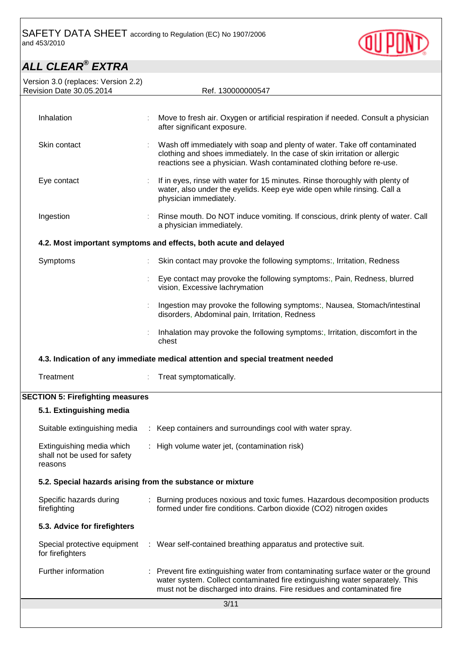

| Version 3.0 (replaces: Version 2.2)<br>Revision Date 30.05.2014      | Ref. 130000000547                                                                                                                                                                                                                          |
|----------------------------------------------------------------------|--------------------------------------------------------------------------------------------------------------------------------------------------------------------------------------------------------------------------------------------|
|                                                                      |                                                                                                                                                                                                                                            |
| Inhalation                                                           | Move to fresh air. Oxygen or artificial respiration if needed. Consult a physician<br>after significant exposure.                                                                                                                          |
| Skin contact                                                         | Wash off immediately with soap and plenty of water. Take off contaminated<br>clothing and shoes immediately. In the case of skin irritation or allergic<br>reactions see a physician. Wash contaminated clothing before re-use.            |
| Eye contact                                                          | If in eyes, rinse with water for 15 minutes. Rinse thoroughly with plenty of<br>water, also under the eyelids. Keep eye wide open while rinsing. Call a<br>physician immediately.                                                          |
| Ingestion                                                            | Rinse mouth. Do NOT induce vomiting. If conscious, drink plenty of water. Call<br>a physician immediately.                                                                                                                                 |
|                                                                      | 4.2. Most important symptoms and effects, both acute and delayed                                                                                                                                                                           |
| Symptoms                                                             | Skin contact may provoke the following symptoms:, Irritation, Redness                                                                                                                                                                      |
|                                                                      | Eye contact may provoke the following symptoms:, Pain, Redness, blurred<br>vision, Excessive lachrymation                                                                                                                                  |
|                                                                      | Ingestion may provoke the following symptoms:, Nausea, Stomach/intestinal<br>disorders, Abdominal pain, Irritation, Redness                                                                                                                |
|                                                                      | Inhalation may provoke the following symptoms:, Irritation, discomfort in the<br>chest                                                                                                                                                     |
|                                                                      | 4.3. Indication of any immediate medical attention and special treatment needed                                                                                                                                                            |
| Treatment                                                            | Treat symptomatically.                                                                                                                                                                                                                     |
| <b>SECTION 5: Firefighting measures</b>                              |                                                                                                                                                                                                                                            |
| 5.1. Extinguishing media                                             |                                                                                                                                                                                                                                            |
| Suitable extinguishing media                                         | Keep containers and surroundings cool with water spray.                                                                                                                                                                                    |
| Extinguishing media which<br>shall not be used for safety<br>reasons | : High volume water jet, (contamination risk)                                                                                                                                                                                              |
| 5.2. Special hazards arising from the substance or mixture           |                                                                                                                                                                                                                                            |
| Specific hazards during<br>firefighting                              | : Burning produces noxious and toxic fumes. Hazardous decomposition products<br>formed under fire conditions. Carbon dioxide (CO2) nitrogen oxides                                                                                         |
| 5.3. Advice for firefighters                                         |                                                                                                                                                                                                                                            |
| Special protective equipment<br>for firefighters                     | : Wear self-contained breathing apparatus and protective suit.                                                                                                                                                                             |
| Further information                                                  | Prevent fire extinguishing water from contaminating surface water or the ground<br>water system. Collect contaminated fire extinguishing water separately. This<br>must not be discharged into drains. Fire residues and contaminated fire |
|                                                                      | 3/11                                                                                                                                                                                                                                       |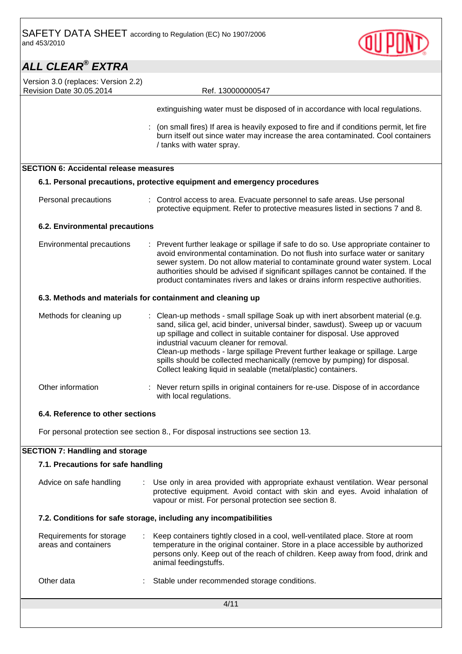

| JVICE ON SAIE HANGING. | USE ONly in area provided with appropriate exhaust vehination. Wear personal |
|------------------------|------------------------------------------------------------------------------|
|                        | protective equipment. Avoid contact with skin and eyes. Avoid inhalation of  |
|                        | vapour or mist. For personal protection see section 8.                       |
|                        |                                                                              |

### **7.2. Conditions for safe storage, including any incompatibilities**

| Requirements for storage<br>areas and containers | Keep containers tightly closed in a cool, well-ventilated place. Store at room<br>temperature in the original container. Store in a place accessible by authorized<br>persons only. Keep out of the reach of children. Keep away from food, drink and<br>animal feedingstuffs. |
|--------------------------------------------------|--------------------------------------------------------------------------------------------------------------------------------------------------------------------------------------------------------------------------------------------------------------------------------|
|                                                  |                                                                                                                                                                                                                                                                                |

| Other data |  | Stable under recommended storage conditions. |  |  |
|------------|--|----------------------------------------------|--|--|
|------------|--|----------------------------------------------|--|--|

4/11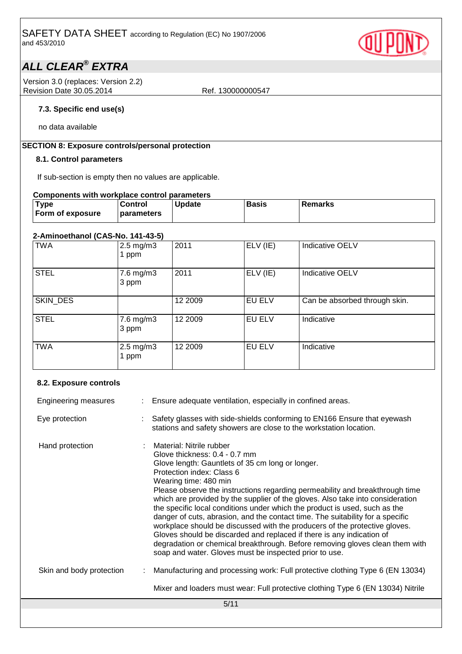

Version 3.0 (replaces: Version 2.2) Revision Date 30.05.2014 Ref. 130000000547

# **7.3. Specific end use(s)**

no data available

# **SECTION 8: Exposure controls/personal protection**

### **8.1. Control parameters**

If sub-section is empty then no values are applicable.

#### **Components with workplace control parameters**

| Type<br><b>Form of exposure</b> | Control<br><b>I</b> parameters | <b>Update</b> | <b>Basis</b> | Remarks |
|---------------------------------|--------------------------------|---------------|--------------|---------|
|                                 |                                |               |              |         |

### **2-Aminoethanol (CAS-No. 141-43-5)**

| <b>TWA</b>  | $2.5 \text{ mg/m}$ 3<br>1 ppm | 2011    | $ELV$ ( $IE$ ) | Indicative OELV               |
|-------------|-------------------------------|---------|----------------|-------------------------------|
| <b>STEL</b> | 7.6 mg/m3<br>3 ppm            | 2011    | $ELV$ ( $IE$ ) | <b>Indicative OELV</b>        |
| SKIN_DES    |                               | 12 2009 | EU ELV         | Can be absorbed through skin. |
| <b>STEL</b> | 7.6 mg/m3<br>3 ppm            | 12 2009 | EU ELV         | Indicative                    |
| <b>TWA</b>  | $2.5 \text{ mg/m}$ 3<br>1 ppm | 12 2009 | EU ELV         | Indicative                    |

### **8.2. Exposure controls**

| Engineering measures     | Ensure adequate ventilation, especially in confined areas.                                                                                                                                                                                                                                                                                                                                                                                                                                                                                                                                                                                                                                                                                                                                             |  |  |  |
|--------------------------|--------------------------------------------------------------------------------------------------------------------------------------------------------------------------------------------------------------------------------------------------------------------------------------------------------------------------------------------------------------------------------------------------------------------------------------------------------------------------------------------------------------------------------------------------------------------------------------------------------------------------------------------------------------------------------------------------------------------------------------------------------------------------------------------------------|--|--|--|
| Eye protection           | Safety glasses with side-shields conforming to EN166 Ensure that eyewash<br>stations and safety showers are close to the workstation location.                                                                                                                                                                                                                                                                                                                                                                                                                                                                                                                                                                                                                                                         |  |  |  |
| Hand protection          | Material: Nitrile rubber<br>Glove thickness: 0.4 - 0.7 mm<br>Glove length: Gauntlets of 35 cm long or longer.<br>Protection index: Class 6<br>Wearing time: 480 min<br>Please observe the instructions regarding permeability and breakthrough time<br>which are provided by the supplier of the gloves. Also take into consideration<br>the specific local conditions under which the product is used, such as the<br>danger of cuts, abrasion, and the contact time. The suitability for a specific<br>workplace should be discussed with the producers of the protective gloves.<br>Gloves should be discarded and replaced if there is any indication of<br>degradation or chemical breakthrough. Before removing gloves clean them with<br>soap and water. Gloves must be inspected prior to use. |  |  |  |
| Skin and body protection | Manufacturing and processing work: Full protective clothing Type 6 (EN 13034)                                                                                                                                                                                                                                                                                                                                                                                                                                                                                                                                                                                                                                                                                                                          |  |  |  |
|                          | Mixer and loaders must wear: Full protective clothing Type 6 (EN 13034) Nitrile                                                                                                                                                                                                                                                                                                                                                                                                                                                                                                                                                                                                                                                                                                                        |  |  |  |
|                          | 5/11                                                                                                                                                                                                                                                                                                                                                                                                                                                                                                                                                                                                                                                                                                                                                                                                   |  |  |  |
|                          |                                                                                                                                                                                                                                                                                                                                                                                                                                                                                                                                                                                                                                                                                                                                                                                                        |  |  |  |

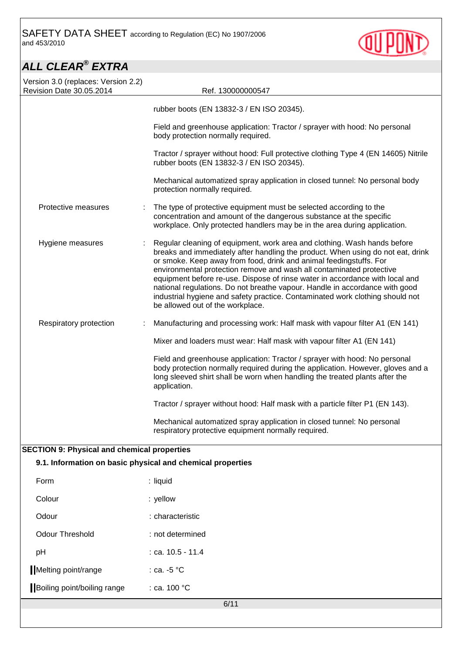

| Version 3.0 (replaces: Version 2.2)<br>Revision Date 30.05.2014 | Ref. 130000000547                                                                                                                                                                                                                                                                                                                                                                                                                                                                                                                                                                             |
|-----------------------------------------------------------------|-----------------------------------------------------------------------------------------------------------------------------------------------------------------------------------------------------------------------------------------------------------------------------------------------------------------------------------------------------------------------------------------------------------------------------------------------------------------------------------------------------------------------------------------------------------------------------------------------|
|                                                                 | rubber boots (EN 13832-3 / EN ISO 20345).                                                                                                                                                                                                                                                                                                                                                                                                                                                                                                                                                     |
|                                                                 | Field and greenhouse application: Tractor / sprayer with hood: No personal<br>body protection normally required.                                                                                                                                                                                                                                                                                                                                                                                                                                                                              |
|                                                                 | Tractor / sprayer without hood: Full protective clothing Type 4 (EN 14605) Nitrile<br>rubber boots (EN 13832-3 / EN ISO 20345).                                                                                                                                                                                                                                                                                                                                                                                                                                                               |
|                                                                 | Mechanical automatized spray application in closed tunnel: No personal body<br>protection normally required.                                                                                                                                                                                                                                                                                                                                                                                                                                                                                  |
| Protective measures                                             | The type of protective equipment must be selected according to the<br>concentration and amount of the dangerous substance at the specific<br>workplace. Only protected handlers may be in the area during application.                                                                                                                                                                                                                                                                                                                                                                        |
| Hygiene measures                                                | Regular cleaning of equipment, work area and clothing. Wash hands before<br>breaks and immediately after handling the product. When using do not eat, drink<br>or smoke. Keep away from food, drink and animal feedingstuffs. For<br>environmental protection remove and wash all contaminated protective<br>equipment before re-use. Dispose of rinse water in accordance with local and<br>national regulations. Do not breathe vapour. Handle in accordance with good<br>industrial hygiene and safety practice. Contaminated work clothing should not<br>be allowed out of the workplace. |
| Respiratory protection                                          | Manufacturing and processing work: Half mask with vapour filter A1 (EN 141)                                                                                                                                                                                                                                                                                                                                                                                                                                                                                                                   |
|                                                                 | Mixer and loaders must wear: Half mask with vapour filter A1 (EN 141)                                                                                                                                                                                                                                                                                                                                                                                                                                                                                                                         |
|                                                                 | Field and greenhouse application: Tractor / sprayer with hood: No personal<br>body protection normally required during the application. However, gloves and a<br>long sleeved shirt shall be worn when handling the treated plants after the<br>application.                                                                                                                                                                                                                                                                                                                                  |
|                                                                 | Tractor / sprayer without hood: Half mask with a particle filter P1 (EN 143).                                                                                                                                                                                                                                                                                                                                                                                                                                                                                                                 |
|                                                                 | Mechanical automatized spray application in closed tunnel: No personal<br>respiratory protective equipment normally required.                                                                                                                                                                                                                                                                                                                                                                                                                                                                 |

# **SECTION 9: Physical and chemical properties**

# **9.1. Information on basic physical and chemical properties**

|                             | 6/11                  |  |
|-----------------------------|-----------------------|--|
| Boiling point/boiling range | : ca. 100 °C          |  |
| Melting point/range         | : ca. -5 $^{\circ}$ C |  |
| рH                          | $:$ ca. 10.5 - 11.4   |  |
| Odour Threshold             | : not determined      |  |
| Odour                       | : characteristic      |  |
| Colour                      | : yellow              |  |
| Form                        | : liquid              |  |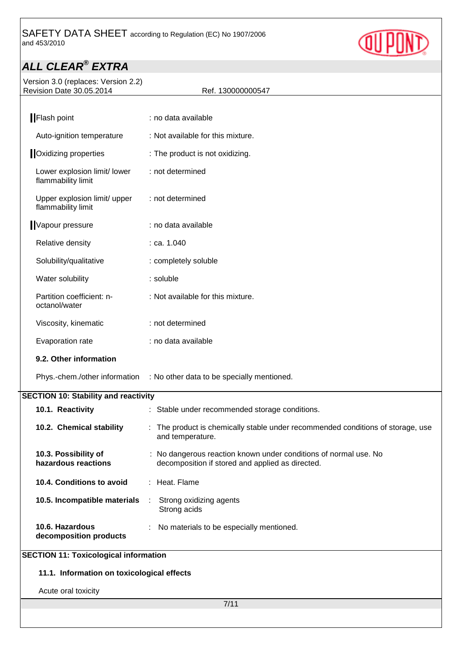

Version 3.0 (replaces: Version 2.2) Revision Date 30.05.2014 Ref. 130000000547

| ACTION Date 00.00.2014                             | 1101.100000000071                                                                                                    |  |
|----------------------------------------------------|----------------------------------------------------------------------------------------------------------------------|--|
|                                                    |                                                                                                                      |  |
| Flash point                                        | : no data available                                                                                                  |  |
| Auto-ignition temperature                          | : Not available for this mixture.                                                                                    |  |
| <b>Oxidizing properties</b>                        | : The product is not oxidizing.                                                                                      |  |
| Lower explosion limit/ lower<br>flammability limit | : not determined                                                                                                     |  |
| Upper explosion limit/ upper<br>flammability limit | : not determined                                                                                                     |  |
| Vapour pressure                                    | : no data available                                                                                                  |  |
| Relative density                                   | : ca. 1.040                                                                                                          |  |
| Solubility/qualitative                             | : completely soluble                                                                                                 |  |
| Water solubility                                   | : soluble                                                                                                            |  |
| Partition coefficient: n-<br>octanol/water         | : Not available for this mixture.                                                                                    |  |
| Viscosity, kinematic                               | : not determined                                                                                                     |  |
| Evaporation rate                                   | : no data available                                                                                                  |  |
| 9.2. Other information                             |                                                                                                                      |  |
|                                                    | Phys.-chem./other information : No other data to be specially mentioned.                                             |  |
| <b>SECTION 10: Stability and reactivity</b>        |                                                                                                                      |  |
| 10.1. Reactivity                                   | : Stable under recommended storage conditions.                                                                       |  |
| 10.2. Chemical stability                           | : The product is chemically stable under recommended conditions of storage, use<br>and temperature.                  |  |
| 10.3. Possibility of<br>hazardous reactions        | : No dangerous reaction known under conditions of normal use. No<br>decomposition if stored and applied as directed. |  |
| 10.4. Conditions to avoid                          | : Heat. Flame                                                                                                        |  |
| 10.5. Incompatible materials                       | Strong oxidizing agents<br>Strong acids                                                                              |  |
| 10.6. Hazardous<br>decomposition products          | No materials to be especially mentioned.                                                                             |  |
| <b>SECTION 11: Toxicological information</b>       |                                                                                                                      |  |
| 11.1. Information on toxicological effects         |                                                                                                                      |  |
| Acute oral toxicity                                |                                                                                                                      |  |
|                                                    | 7/11                                                                                                                 |  |
|                                                    |                                                                                                                      |  |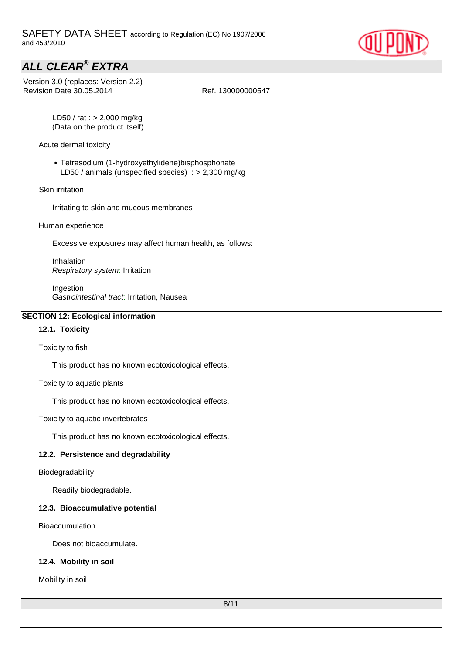

Version 3.0 (replaces: Version 2.2) Revision Date 30.05.2014 Ref. 130000000547

 LD50 / rat : > 2,000 mg/kg (Data on the product itself)

Acute dermal toxicity

• Tetrasodium (1-hydroxyethylidene)bisphosphonate LD50 / animals (unspecified species) : > 2,300 mg/kg

Skin irritation

Irritating to skin and mucous membranes

Human experience

Excessive exposures may affect human health, as follows:

Inhalation Respiratory system: Irritation

Ingestion Gastrointestinal tract: Irritation, Nausea

#### **SECTION 12: Ecological information**

#### **12.1. Toxicity**

Toxicity to fish

This product has no known ecotoxicological effects.

Toxicity to aquatic plants

This product has no known ecotoxicological effects.

Toxicity to aquatic invertebrates

This product has no known ecotoxicological effects.

# **12.2. Persistence and degradability**

#### Biodegradability

Readily biodegradable.

### **12.3. Bioaccumulative potential**

Bioaccumulation

Does not bioaccumulate.

### **12.4. Mobility in soil**

Mobility in soil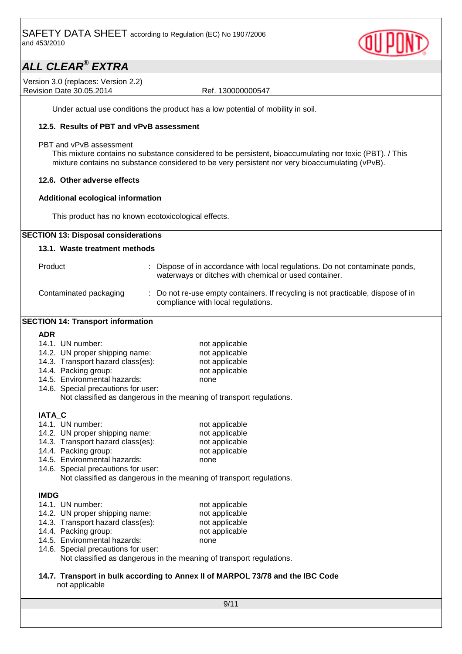

Version 3.0 (replaces: Version 2.2) Revision Date 30.05.2014 Ref. 130000000547

Under actual use conditions the product has a low potential of mobility in soil.

### **12.5. Results of PBT and vPvB assessment**

#### PBT and vPvB assessment

 This mixture contains no substance considered to be persistent, bioaccumulating nor toxic (PBT). / This mixture contains no substance considered to be very persistent nor very bioaccumulating (vPvB).

#### **12.6. Other adverse effects**

#### **Additional ecological information**

This product has no known ecotoxicological effects.

# **SECTION 13: Disposal considerations**

#### **13.1. Waste treatment methods**

| Product                | : Dispose of in accordance with local regulations. Do not contaminate ponds,<br>waterways or ditches with chemical or used container. |
|------------------------|---------------------------------------------------------------------------------------------------------------------------------------|
| Contaminated packaging | : Do not re-use empty containers. If recycling is not practicable, dispose of in<br>compliance with local regulations.                |

### **SECTION 14: Transport information**

#### **ADR**

|             | 14.1. UN number:                                                     | not applicable                                                                 |
|-------------|----------------------------------------------------------------------|--------------------------------------------------------------------------------|
|             | 14.2. UN proper shipping name:                                       | not applicable                                                                 |
|             | 14.3. Transport hazard class(es):                                    | not applicable                                                                 |
|             | 14.4. Packing group:                                                 | not applicable                                                                 |
|             | 14.5. Environmental hazards:                                         | none                                                                           |
|             | 14.6. Special precautions for user:                                  |                                                                                |
|             | Not classified as dangerous in the meaning of transport regulations. |                                                                                |
| IATA_C      |                                                                      |                                                                                |
|             | 14.1. UN number:                                                     | not applicable                                                                 |
|             | 14.2. UN proper shipping name:                                       | not applicable                                                                 |
|             | 14.3. Transport hazard class(es):                                    | not applicable                                                                 |
|             | 14.4. Packing group:                                                 | not applicable                                                                 |
|             | 14.5. Environmental hazards:                                         | none                                                                           |
|             | 14.6. Special precautions for user:                                  |                                                                                |
|             | Not classified as dangerous in the meaning of transport regulations. |                                                                                |
| <b>IMDG</b> |                                                                      |                                                                                |
|             | 14.1. UN number:                                                     | not applicable                                                                 |
|             | 14.2. UN proper shipping name:                                       | not applicable                                                                 |
|             | 14.3. Transport hazard class(es):                                    | not applicable                                                                 |
|             | 14.4. Packing group:                                                 | not applicable                                                                 |
|             | 14.5. Environmental hazards:                                         | none                                                                           |
|             | 14.6. Special precautions for user:                                  |                                                                                |
|             | Not classified as dangerous in the meaning of transport regulations. |                                                                                |
|             |                                                                      | 14.7. Transport in bulk according to Annex II of MARPOL 73/78 and the IBC Code |
|             | not applicable                                                       |                                                                                |

9/11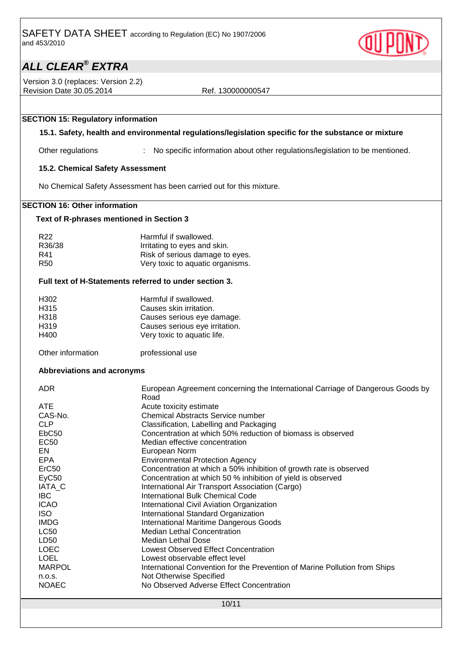

Version 3.0 (replaces: Version 2.2) Revision Date 30.05.2014 Ref. 130000000547

# **SECTION 15: Regulatory information**

- **15.1. Safety, health and environmental regulations/legislation specific for the substance or mixture**
- Other regulations : No specific information about other regulations/legislation to be mentioned.

### **15.2. Chemical Safety Assessment**

No Chemical Safety Assessment has been carried out for this mixture.

# **SECTION 16: Other information**

### **Text of R-phrases mentioned in Section 3**

| R <sub>22</sub> | Harmful if swallowed.            |
|-----------------|----------------------------------|
| R36/38          | Irritating to eyes and skin.     |
| R41             | Risk of serious damage to eyes.  |
| R50             | Very toxic to aquatic organisms. |

### **Full text of H-Statements referred to under section 3.**

| H302 | Harmful if swallowed.          |
|------|--------------------------------|
| H315 | Causes skin irritation.        |
| H318 | Causes serious eye damage.     |
| H319 | Causes serious eye irritation. |
| H400 | Very toxic to aquatic life.    |
|      |                                |

Other information **professional use** 

#### **Abbreviations and acronyms**

| <b>ADR</b>        | European Agreement concerning the International Carriage of Dangerous Goods by<br>Road |  |  |
|-------------------|----------------------------------------------------------------------------------------|--|--|
| <b>ATE</b>        | Acute toxicity estimate                                                                |  |  |
| CAS-No.           | <b>Chemical Abstracts Service number</b>                                               |  |  |
| <b>CLP</b>        | Classification, Labelling and Packaging                                                |  |  |
| EbC50             | Concentration at which 50% reduction of biomass is observed                            |  |  |
| EC50              | Median effective concentration                                                         |  |  |
| EN                | European Norm                                                                          |  |  |
| EPA               | <b>Environmental Protection Agency</b>                                                 |  |  |
| ErC <sub>50</sub> | Concentration at which a 50% inhibition of growth rate is observed                     |  |  |
| EyC50             | Concentration at which 50 % inhibition of yield is observed                            |  |  |
| IATA C            | International Air Transport Association (Cargo)                                        |  |  |
| IBC.              | International Bulk Chemical Code                                                       |  |  |
| <b>ICAO</b>       | International Civil Aviation Organization                                              |  |  |
| <b>ISO</b>        | International Standard Organization                                                    |  |  |
| <b>IMDG</b>       | <b>International Maritime Dangerous Goods</b>                                          |  |  |
| <b>LC50</b>       | <b>Median Lethal Concentration</b>                                                     |  |  |
| LD50              | Median Lethal Dose                                                                     |  |  |
| <b>LOEC</b>       | Lowest Observed Effect Concentration                                                   |  |  |
| <b>LOEL</b>       | Lowest observable effect level                                                         |  |  |
| <b>MARPOL</b>     | International Convention for the Prevention of Marine Pollution from Ships             |  |  |
| n.o.s.            | Not Otherwise Specified                                                                |  |  |
| <b>NOAEC</b>      | No Observed Adverse Effect Concentration                                               |  |  |
|                   |                                                                                        |  |  |
| 10/11             |                                                                                        |  |  |